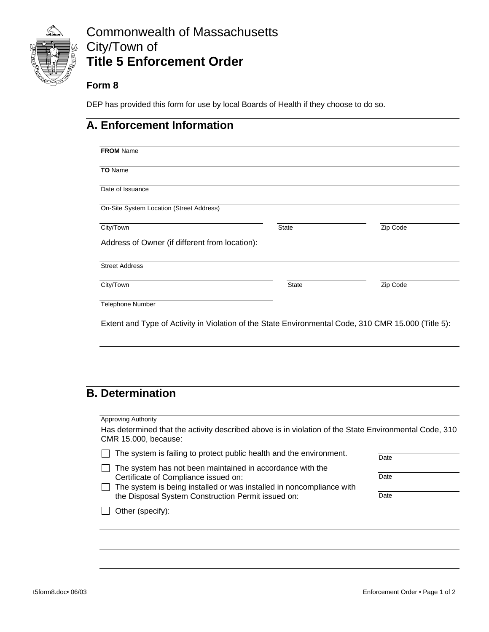

# Commonwealth of Massachusetts City/Town of **Title 5 Enforcement Order**

#### **Form 8**

DEP has provided this form for use by local Boards of Health if they choose to do so.

### **A. Enforcement Information**

| <b>TO</b> Name                                 |              |          |
|------------------------------------------------|--------------|----------|
| Date of Issuance                               |              |          |
| On-Site System Location (Street Address)       |              |          |
|                                                |              |          |
| City/Town                                      | <b>State</b> | Zip Code |
| Address of Owner (if different from location): |              |          |
| <b>Street Address</b>                          |              |          |
| City/Town                                      | <b>State</b> | Zip Code |

# **B. Determination**

| The system is failing to protect public health and the environment.                                                        |
|----------------------------------------------------------------------------------------------------------------------------|
| The system has not been maintained in accordance with the                                                                  |
| Certificate of Compliance issued on:                                                                                       |
| The system is being installed or was installed in noncompliance with<br>the Disposal System Construction Permit issued on: |
| Other (specify):                                                                                                           |